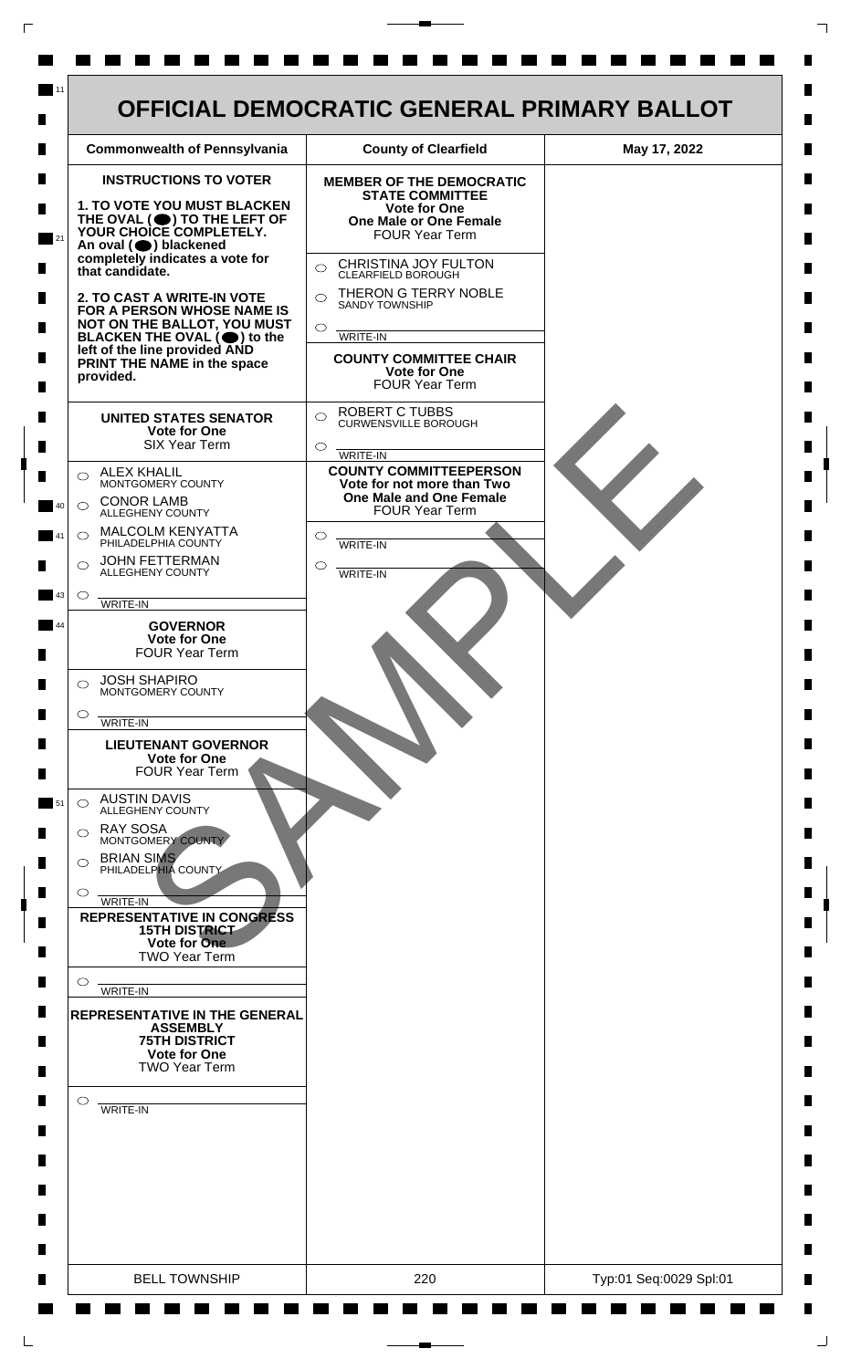

 $\mathsf{L}$